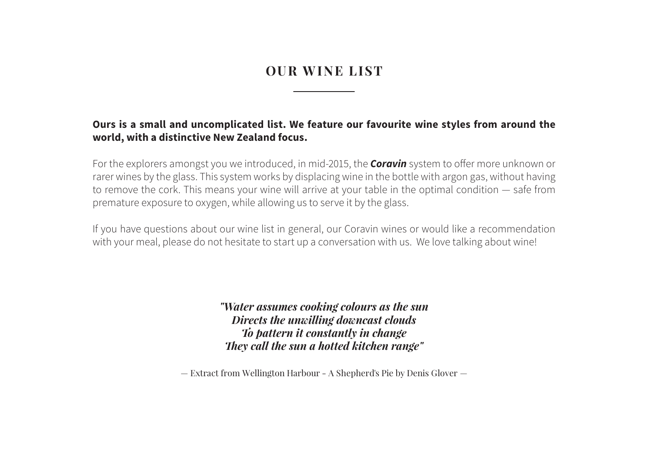## **OUR WINE LIST**

### **Ours is a small and uncomplicated list. We feature our favourite wine styles from around the world, with a distinctive New Zealand focus.**

For the explorers amongst you we introduced, in mid-2015, the *Coravin* system to offer more unknown or rarer wines by the glass. This system works by displacing wine in the bottle with argon gas, without having to remove the cork. This means your wine will arrive at your table in the optimal condition — safe from premature exposure to oxygen, while allowing us to serve it by the glass.

If you have questions about our wine list in general, our Coravin wines or would like a recommendation with your meal, please do not hesitate to start up a conversation with us. We love talking about wine!

> *"Water assumes cooking colours as the sun Directs the unwilling downcast clouds To pattern it constantly in change They call the sun a hotted kitchen range"*

— Extract from Wellington Harbour - A Shepherd's Pie by Denis Glover —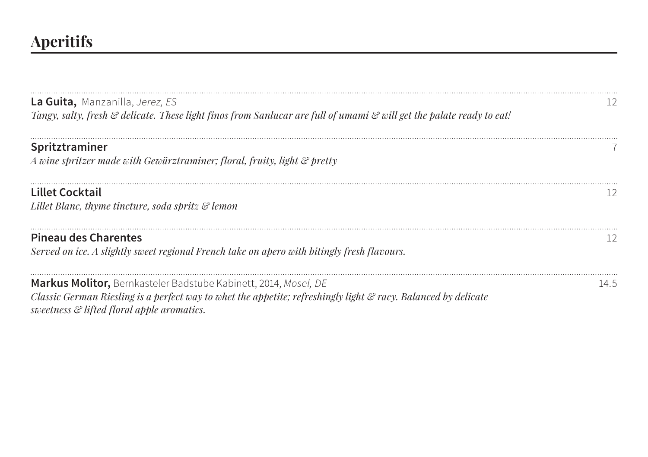# **Aperitifs**

| <b>La Guita,</b> Manzanilla, Jerez, ES<br>Tangy, salty, fresh & delicate. These light finos from Sanlucar are full of umami & will get the palate ready to eat!                                                                 |      |
|---------------------------------------------------------------------------------------------------------------------------------------------------------------------------------------------------------------------------------|------|
| Spritztraminer<br>A wine spritzer made with Gewürztraminer; floral, fruity, light & pretty                                                                                                                                      |      |
| <b>Lillet Cocktail</b><br>Lillet Blanc, thyme tincture, soda spritz & lemon                                                                                                                                                     |      |
| <b>Pineau des Charentes</b><br>Served on ice. A slightly sweet regional French take on apero with bitingly fresh flavours.                                                                                                      |      |
| Markus Molitor, Bernkasteler Badstube Kabinett, 2014, Mosel, DE<br>Classic German Riesling is a perfect way to whet the appetite; refreshingly light & racy. Balanced by delicate<br>sweetness & lifted floral apple aromatics. | 14.5 |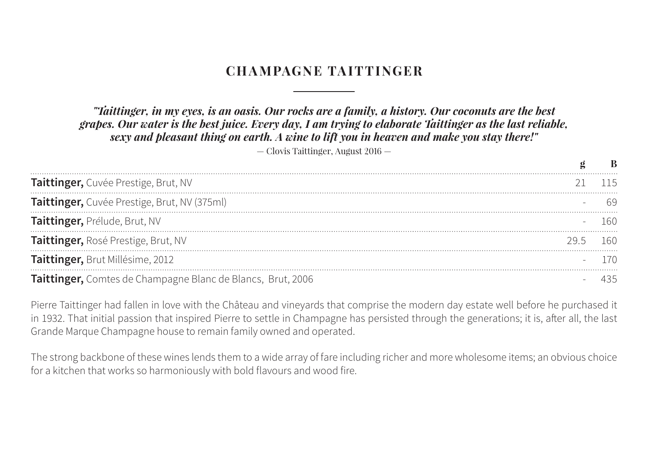## **CHAMPAGNE TAITTINGER**

### *"Taittinger, in my eyes, is an oasis. Our rocks are a family, a history. Our coconuts are the best grapes. Our water is the best juice. Every day, I am trying to elaborate Taittinger as the last reliable, sexy and pleasant thing on earth. A wine to lift you in heaven and make you stay there!"*

— Clovis Taittinger, August 2016 —

| Taittinger, Cuvée Prestige, Brut, NV                        |  |
|-------------------------------------------------------------|--|
| Taittinger, Cuvée Prestige, Brut, NV (375ml)                |  |
| Taittinger, Prélude, Brut, NV                               |  |
| Taittinger, Rosé Prestige, Brut, NV                         |  |
| Taittinger, Brut Millésime, 2012                            |  |
| Taittinger, Comtes de Champagne Blanc de Blancs, Brut, 2006 |  |

Pierre Taittinger had fallen in love with the Château and vineyards that comprise the modern day estate well before he purchased it in 1932. That initial passion that inspired Pierre to settle in Champagne has persisted through the generations; it is, after all, the last Grande Marque Champagne house to remain family owned and operated.

The strong backbone of these wines lends them to a wide array of fare including richer and more wholesome items; an obvious choice for a kitchen that works so harmoniously with bold flavours and wood fire.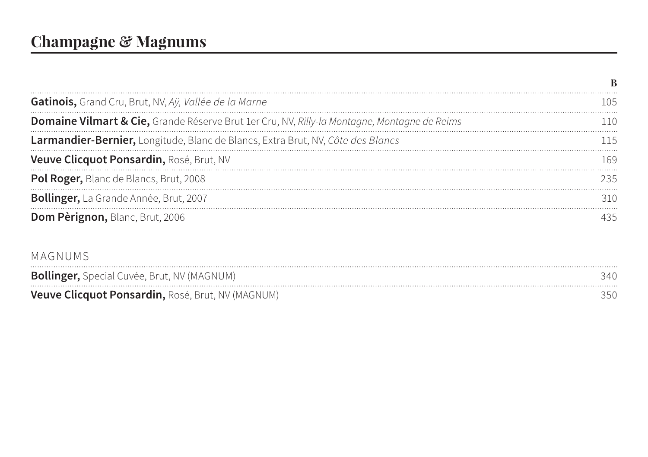| Gatinois, Grand Cru, Brut, NV, Aÿ, Vallée de la Marne                                        |  |
|----------------------------------------------------------------------------------------------|--|
| Domaine Vilmart & Cie, Grande Réserve Brut 1er Cru, NV, Rilly-la Montagne, Montagne de Reims |  |
| Larmandier-Bernier, Longitude, Blanc de Blancs, Extra Brut, NV, Côte des Blancs              |  |
| Veuve Clicquot Ponsardin, Rosé, Brut, NV                                                     |  |
| Pol Roger, Blanc de Blancs, Brut, 2008                                                       |  |
| Bollinger, La Grande Année, Brut, 2007                                                       |  |
| Dom Pèrignon, Blanc, Brut, 2006                                                              |  |

### MAGNUMS

| <b>Bollinger, Special Cuvée, Brut, NV (MAGNUM)</b> | 340 |
|----------------------------------------------------|-----|
| Veuve Clicquot Ponsardin, Rosé, Brut, NV (MAGNUM)  |     |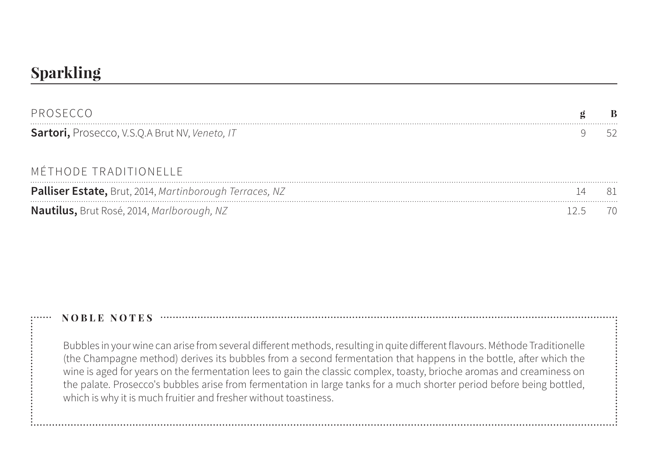## **Sparkling**

| PROSECCO                                                |  |
|---------------------------------------------------------|--|
| Sartori, Prosecco, V.S.Q.A Brut NV, Veneto, IT          |  |
| MÉTHODE TRADITIONELLE                                   |  |
| Palliser Estate, Brut, 2014, Martinborough Terraces, NZ |  |
| Nautilus, Brut Rosé, 2014, Marlborough, NZ              |  |

### **NOBLE NOTES**

Bubbles in your wine can arise from several different methods, resulting in quite different flavours. Méthode Traditionelle (the Champagne method) derives its bubbles from a second fermentation that happens in the bottle, after which the wine is aged for years on the fermentation lees to gain the classic complex, toasty, brioche aromas and creaminess on the palate. Prosecco's bubbles arise from fermentation in large tanks for a much shorter period before being bottled, which is why it is much fruitier and fresher without toastiness.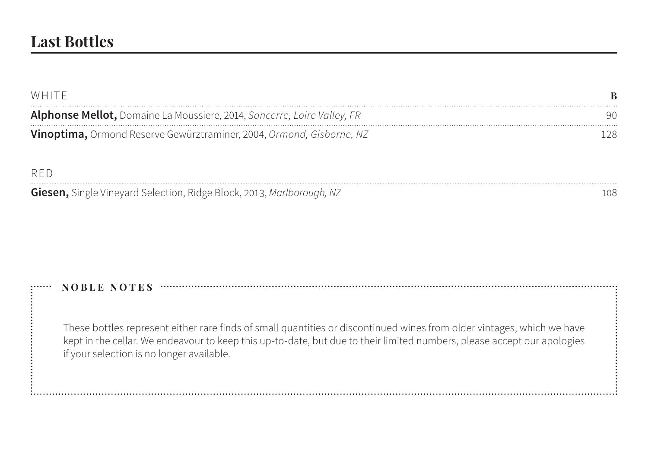| WHITE                                                                          |     |
|--------------------------------------------------------------------------------|-----|
| <b>Alphonse Mellot,</b> Domaine La Moussiere, 2014, Sancerre, Loire Valley, FR | 90  |
| Vinoptima, Ormond Reserve Gewürztraminer, 2004, Ormond, Gisborne, NZ           | 128 |

### RED

**Giesen,** Single Vineyard Selection, Ridge Block, 2013, *Marlborough*, NZ 108

### **NOBLE NOTES**

These bottles represent either rare finds of small quantities or discontinued wines from older vintages, which we have kept in the cellar. We endeavour to keep this up-to-date, but due to their limited numbers, please accept our apologies if your selection is no longer available.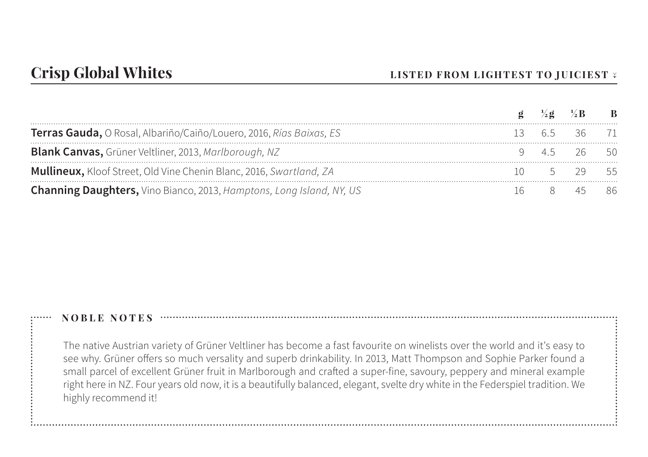|                                                                            | $\mathbf{Q}$ | $\frac{1}{2}$ g $\frac{1}{2}$ B B |  |
|----------------------------------------------------------------------------|--------------|-----------------------------------|--|
| Terras Gauda, O Rosal, Albariño/Caiño/Louero, 2016, Rías Baixas, ES        |              | 13 6.5 36 71                      |  |
| <b>Blank Canvas, Grüner Veltliner, 2013, Marlborough, NZ</b>               |              | 9 45 26 50                        |  |
| <b>Mullineux, Kloof Street, Old Vine Chenin Blanc, 2016, Swartland, ZA</b> |              | $10 \quad 5 \quad 29 \quad 55$    |  |
| Channing Daughters, Vino Bianco, 2013, Hamptons, Long Island, NY, US       |              | 16 8 45 86                        |  |

The native Austrian variety of Grüner Veltliner has become a fast favourite on winelists over the world and it's easy to see why. Grüner offers so much versality and superb drinkability. In 2013, Matt Thompson and Sophie Parker found a small parcel of excellent Grüner fruit in Marlborough and crafted a super-fine, savoury, peppery and mineral example right here in NZ. Four years old now, it is a beautifully balanced, elegant, svelte dry white in the Federspiel tradition. We highly recommend it!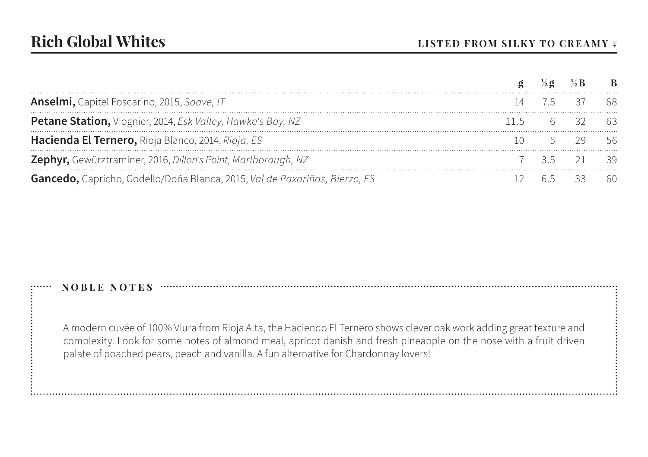| Anselmi, Capitel Foscarino, 2015, Soave, IT                                |       | 75 37 68    |    |
|----------------------------------------------------------------------------|-------|-------------|----|
| Petane Station, Viognier, 2014, Esk Valley, Hawke's Bay, NZ                |       | 115 6 32 63 |    |
| Hacienda El Ternero, Rioja Blanco, 2014, Rioja, ES                         |       | 5 29 56     |    |
| Zephyr, Gewürztraminer, 2016, Dillon's Point, Marlborough, NZ              |       | 7 35 21 39  |    |
| Gancedo, Capricho, Godello/Doña Blanca, 2015, Val de Paxariñas, Bierzo, ES | 65 33 |             | 60 |

A modern cuvée of 100% Viura from Rioja Alta, the Haciendo El Ternero shows clever oak work adding great texture and complexity. Look for some notes of almond meal, apricot danish and fresh pineapple on the nose with a fruit driven palate of poached pears, peach and vanilla. A fun alternative for Chardonnay lovers!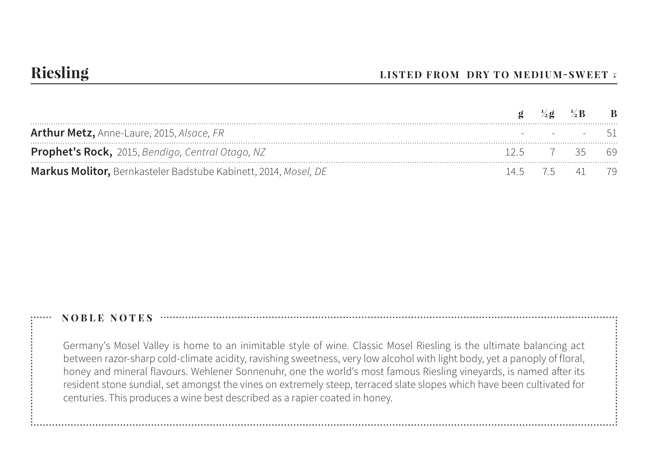|                                                                 |             | $g \frac{1}{2}g \frac{1}{2}B$ B |  |
|-----------------------------------------------------------------|-------------|---------------------------------|--|
| Arthur Metz, Anne-Laure, 2015, Alsace, FR                       |             | - - - - - 51                    |  |
| <b>Prophet's Rock,</b> 2015, Bendigo, Central Otago, NZ         | 125 7 35 69 |                                 |  |
| Markus Molitor, Bernkasteler Badstube Kabinett, 2014, Mosel, DE |             | 14.5 7.5 41 79                  |  |

Germany's Mosel Valley is home to an inimitable style of wine. Classic Mosel Riesling is the ultimate balancing act between razor-sharp cold-climate acidity, ravishing sweetness, very low alcohol with light body, yet a panoply of floral, honey and mineral flavours. Wehlener Sonnenuhr, one the world's most famous Riesling vineyards, is named after its resident stone sundial, set amongst the vines on extremely steep, terraced slate slopes which have been cultivated for centuries. This produces a wine best described as a rapier coated in honey.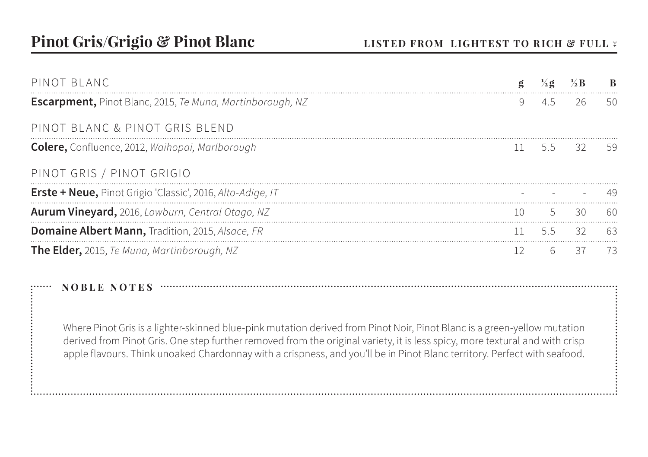| PINOT BLANC                                                       |    |     |                         | R   |
|-------------------------------------------------------------------|----|-----|-------------------------|-----|
| <b>Escarpment, Pinot Blanc, 2015, Te Muna, Martinborough, NZ</b>  | 9  | 4.5 | 26                      | 50. |
| PINOT BLANC & PINOT GRIS BLEND                                    |    |     |                         |     |
| <b>Colere,</b> Confluence, 2012, Waihopai, Marlborough            |    |     | $11 \quad 5.5 \quad 32$ | -59 |
| PINOT GRIS / PINOT GRIGIO                                         |    |     |                         |     |
| <b>Erste + Neue,</b> Pinot Grigio 'Classic', 2016, Alto-Adige, IT |    |     |                         | 49  |
| <b>Aurum Vineyard,</b> 2016, Lowburn, Central Otago, NZ           | 10 |     | 30                      | 60  |
| <b>Domaine Albert Mann, Tradition, 2015, Alsace, FR</b>           |    | 5.5 | 32                      | 63  |
| The Elder, 2015, Te Muna, Martinborough, NZ                       | 12 | 6   | 37                      | 73  |
|                                                                   |    |     |                         |     |
| <b>NOBLE NOTES</b>                                                |    |     |                         |     |

Where Pinot Gris is a lighter-skinned blue-pink mutation derived from Pinot Noir, Pinot Blanc is a green-yellow mutation derived from Pinot Gris. One step further removed from the original variety, it is less spicy, more textural and with crisp apple flavours. Think unoaked Chardonnay with a crispness, and you'll be in Pinot Blanc territory. Perfect with seafood.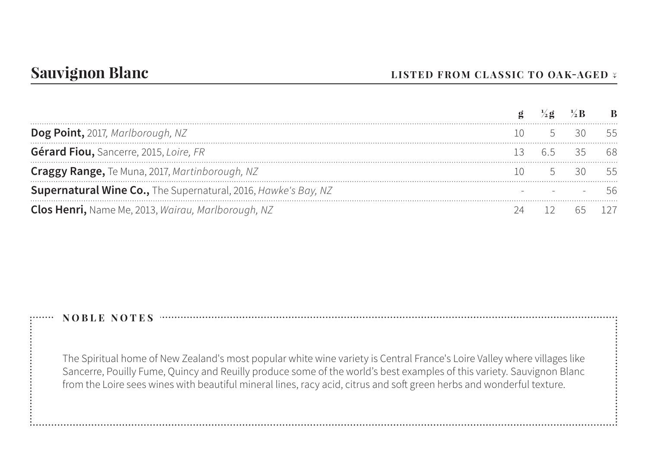| Dog Point, 2017, Marlborough, NZ                                      |  |      |
|-----------------------------------------------------------------------|--|------|
| Gérard Fiou, Sancerre, 2015, Loire, FR                                |  | - 68 |
| Craggy Range, Te Muna, 2017, Martinborough, NZ                        |  |      |
| <b>Supernatural Wine Co.,</b> The Supernatural, 2016, Hawke's Bay, NZ |  |      |
| Clos Henri, Name Me, 2013, Wairau, Marlborough, NZ                    |  |      |

The Spiritual home of New Zealand's most popular white wine variety is Central France's Loire Valley where villages like Sancerre, Pouilly Fume, Quincy and Reuilly produce some of the world's best examples of this variety. Sauvignon Blanc from the Loire sees wines with beautiful mineral lines, racy acid, citrus and soft green herbs and wonderful texture.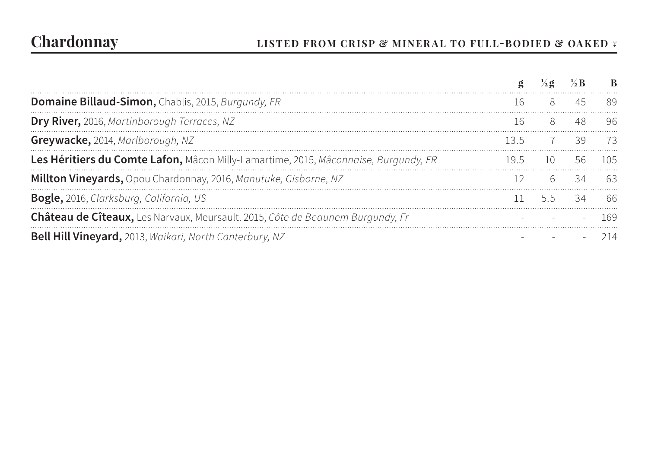# **Chardonnay LISTED FROM CRISP & MINERAL TO FULL-BODIED & OAKED ↓**

|                                                                                     |      |         | $\frac{1}{2}$ g $\frac{1}{2}$ R |     |
|-------------------------------------------------------------------------------------|------|---------|---------------------------------|-----|
| Domaine Billaud-Simon, Chablis, 2015, Burgundy, FR                                  | 16 — |         | 8 45                            |     |
| Dry River, 2016, Martinborough Terraces, NZ                                         |      | 16 8 48 |                                 | -96 |
| Greywacke, 2014, Marlborough, NZ                                                    |      |         | $135$ $7$ 39 73                 |     |
| Les Héritiers du Comte Lafon, Mâcon Milly-Lamartime, 2015, Mâconnaise, Burgundy, FR |      | 19.5 10 |                                 |     |
| Millton Vineyards, Opou Chardonnay, 2016, Manutuke, Gisborne, NZ                    |      | 12 6 34 |                                 | 63  |
| <b>Bogle,</b> 2016, Clarksburg, California, US                                      |      |         | 11 55 34 66                     |     |
| Château de Cîteaux, Les Narvaux, Meursault. 2015, Côte de Beaunem Burgundy, Fr      |      |         |                                 |     |
| Bell Hill Vineyard, 2013, Waikari, North Canterbury, NZ                             |      |         |                                 |     |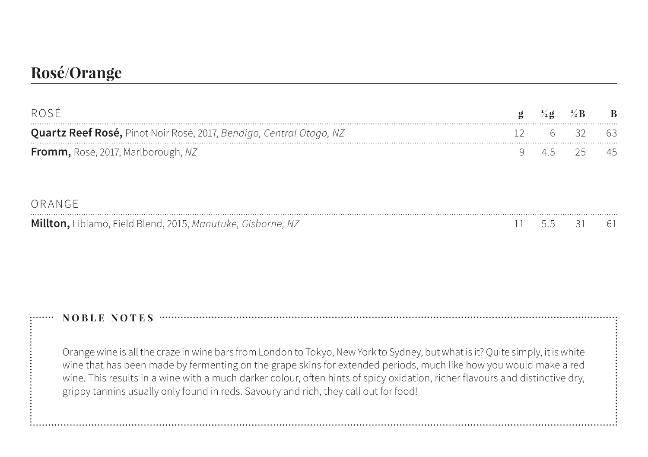## **Rosé/Orange**

| ROSE                                                                |  |    | $\mathbf{B}$ |
|---------------------------------------------------------------------|--|----|--------------|
| Quartz Reef Rosé, Pinot Noir Rosé, 2017, Bendigo, Central Otago, NZ |  |    |              |
| Fromm, Rosé, 2017, Marlborough, NZ                                  |  | 25 |              |
| ORANGE                                                              |  |    |              |
| Millton, Libiamo, Field Blend, 2015, Manutuke, Gisborne, NZ         |  |    |              |

### **NOBLE NOTES**

Orange wine is all the craze in wine bars from London to Tokyo, New York to Sydney, but what is it? Quite simply, it is white wine that has been made by fermenting on the grape skins for extended periods, much like how you would make a red wine. This results in a wine with a much darker colour, often hints of spicy oxidation, richer flavours and distinctive dry, grippy tannins usually only found in reds. Savoury and rich, they call out for food!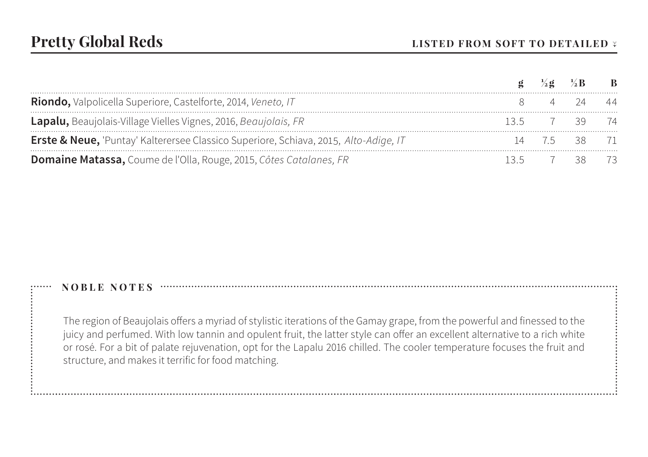|                                                                                      | $\frac{1}{2}$ g $\frac{1}{2}$ B |              | $\overline{B}$ |
|--------------------------------------------------------------------------------------|---------------------------------|--------------|----------------|
| Riondo, Valpolicella Superiore, Castelforte, 2014, Veneto, IT                        |                                 |              |                |
| Lapalu, Beaujolais-Village Vielles Vignes, 2016, Beaujolais, FR                      |                                 | 7 39 74      |                |
| Erste & Neue, 'Puntay' Kalterersee Classico Superiore, Schiava, 2015, Alto-Adige, IT |                                 | 14 7.5 38 71 |                |
| <b>Domaine Matassa, Coume de l'Olla, Rouge, 2015, Côtes Catalanes, FR</b>            |                                 | 7 38 73      |                |

The region of Beaujolais offers a myriad of stylistic iterations of the Gamay grape, from the powerful and finessed to the juicy and perfumed. With low tannin and opulent fruit, the latter style can offer an excellent alternative to a rich white or rosé. For a bit of palate rejuvenation, opt for the Lapalu 2016 chilled. The cooler temperature focuses the fruit and structure, and makes it terrific for food matching.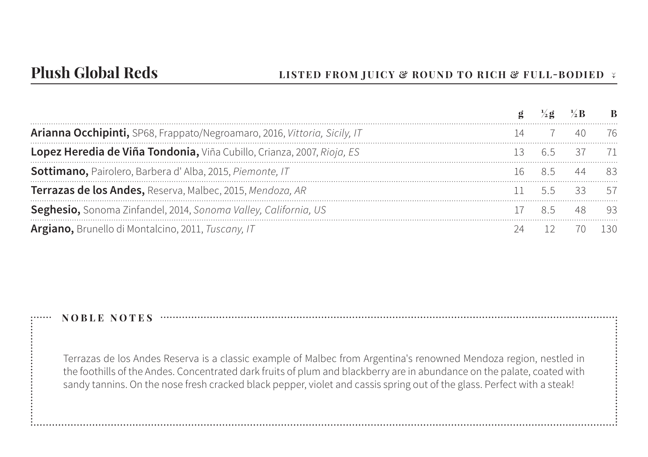|                                                                           |  | $\frac{1}{2}$ <b>g</b> $\frac{1}{2}$ <b>B B</b> |  |
|---------------------------------------------------------------------------|--|-------------------------------------------------|--|
| Arianna Occhipinti, SP68, Frappato/Negroamaro, 2016, Vittoria, Sicily, IT |  |                                                 |  |
| Lopez Heredia de Viña Tondonia, Viña Cubillo, Crianza, 2007, Rioja, ES    |  | 3 65 37 71                                      |  |
| Sottimano, Pairolero, Barbera d'Alba, 2015, Piemonte, IT                  |  | 16 85 44 83                                     |  |
| Terrazas de los Andes, Reserva, Malbec, 2015, Mendoza, AR                 |  |                                                 |  |
| Seghesio, Sonoma Zinfandel, 2014, Sonoma Valley, California, US           |  | 85 48 93                                        |  |
| Argiano, Brunello di Montalcino, 2011, Tuscany, IT                        |  | 12 70 1                                         |  |

Terrazas de los Andes Reserva is a classic example of Malbec from Argentina's renowned Mendoza region, nestled in the foothills of the Andes. Concentrated dark fruits of plum and blackberry are in abundance on the palate, coated with sandy tannins. On the nose fresh cracked black pepper, violet and cassis spring out of the glass. Perfect with a steak!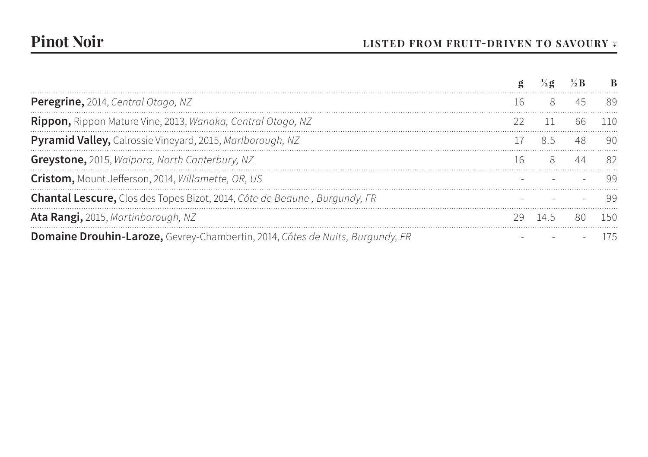|                                                                                      |             |        | <sup>R</sup> |
|--------------------------------------------------------------------------------------|-------------|--------|--------------|
| Peregrine, 2014, Central Otago, NZ                                                   | 16 8 45     |        |              |
| Rippon, Rippon Mature Vine, 2013, Wanaka, Central Otago, NZ                          |             | 66.    |              |
| Pyramid Valley, Calrossie Vineyard, 2015, Marlborough, NZ                            | 17 85 48 90 |        |              |
| Greystone, 2015, Waipara, North Canterbury, NZ                                       | 16 8 44 82  |        |              |
| Cristom, Mount Jefferson, 2014, Willamette, OR, US                                   |             |        | -99          |
| Chantal Lescure, Clos des Topes Bizot, 2014, Côte de Beaune, Burgundy, FR            |             |        |              |
| Ata Rangi, 2015, Martinborough, NZ                                                   | 145         | 80 150 |              |
| <b>Domaine Drouhin-Laroze,</b> Gevrey-Chambertin, 2014, Côtes de Nuits, Burgundy, FR |             |        |              |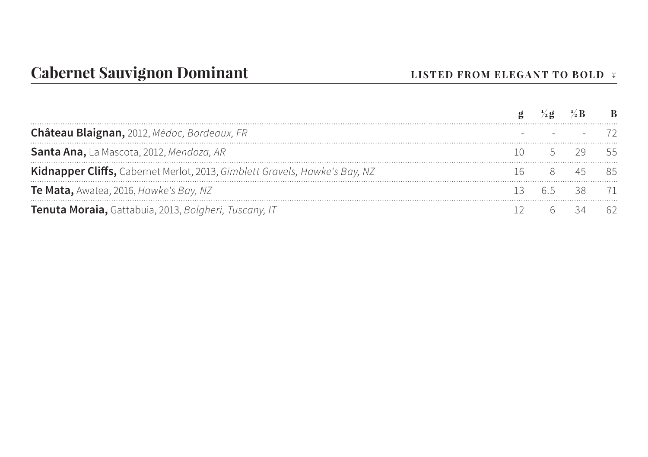| Château Blaignan, 2012, Médoc, Bordeaux, FR                                |  |             |  |
|----------------------------------------------------------------------------|--|-------------|--|
| Santa Ana, La Mascota, 2012, Mendoza, AR                                   |  | 5 29 55     |  |
| Kidnapper Cliffs, Cabernet Merlot, 2013, Gimblett Gravels, Hawke's Bay, NZ |  |             |  |
| Te Mata, Awatea, 2016, Hawke's Bay, NZ                                     |  | 13 65 38 71 |  |
| Tenuta Moraia, Gattabuia, 2013, Bolgheri, Tuscany, IT                      |  | 6 34 62     |  |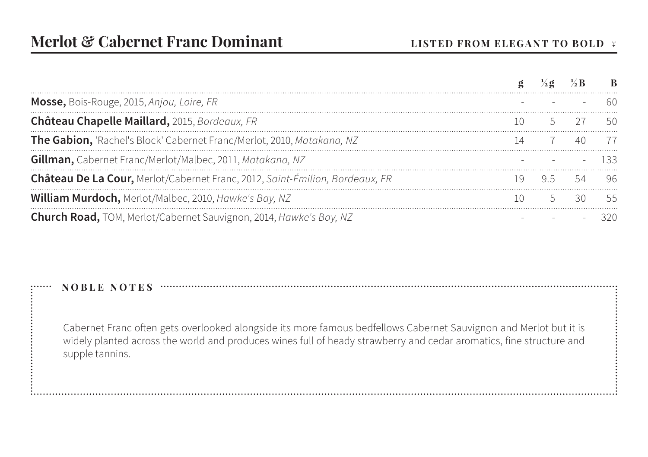| <b>Mosse,</b> Bois-Rouge, 2015, Anjou, Loire, FR                             |  |          |  |
|------------------------------------------------------------------------------|--|----------|--|
| Château Chapelle Maillard, 2015, Bordeaux, FR                                |  |          |  |
| The Gabion, 'Rachel's Block' Cabernet Franc/Merlot, 2010, Matakana, NZ       |  | 40.      |  |
| Gillman, Cabernet Franc/Merlot/Malbec, 2011, Matakana, NZ                    |  | $ -$ 133 |  |
| Château De La Cour, Merlot/Cabernet Franc, 2012, Saint-Émilion, Bordeaux, FR |  |          |  |
| William Murdoch, Merlot/Malbec, 2010, Hawke's Bay, NZ                        |  | 30 55    |  |
| <b>Church Road, TOM, Merlot/Cabernet Sauvignon, 2014, Hawke's Bay, NZ</b>    |  |          |  |

Cabernet Franc often gets overlooked alongside its more famous bedfellows Cabernet Sauvignon and Merlot but it is widely planted across the world and produces wines full of heady strawberry and cedar aromatics, fine structure and supple tannins.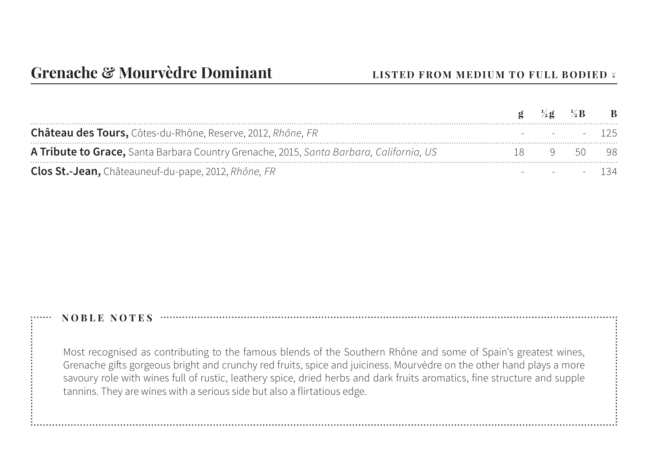|                                                                                         |      | $\mathbf{g} = \frac{1}{2}\mathbf{g} = \frac{1}{2}\mathbf{B}$ | $\mathbf{B}$ |
|-----------------------------------------------------------------------------------------|------|--------------------------------------------------------------|--------------|
| Château des Tours, Côtes-du-Rhône, Reserve, 2012, Rhône, FR                             |      | - - - 125                                                    |              |
| A Tribute to Grace, Santa Barbara Country Grenache, 2015, Santa Barbara, California, US | - 18 | 9 50 98                                                      |              |
| Clos St.-Jean, Châteauneuf-du-pape, 2012, Rhône, FR                                     |      | $   134$                                                     |              |

Most recognised as contributing to the famous blends of the Southern Rhône and some of Spain's greatest wines, Grenache gifts gorgeous bright and crunchy red fruits, spice and juiciness. Mourvèdre on the other hand plays a more savoury role with wines full of rustic, leathery spice, dried herbs and dark fruits aromatics, fine structure and supple tannins. They are wines with a serious side but also a flirtatious edge.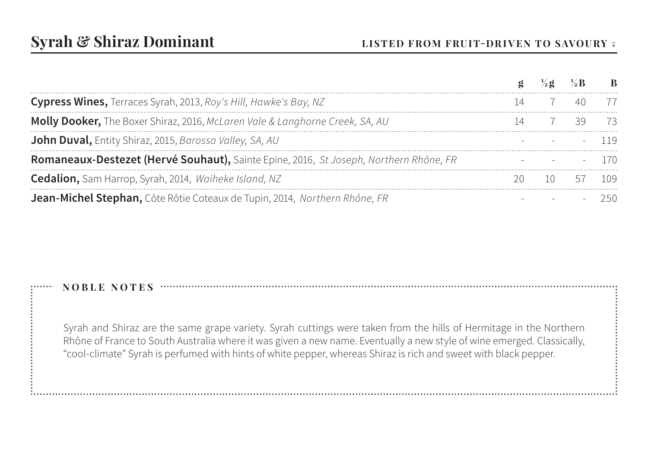|                                                                                       |  | $\mathbf{B}$ |
|---------------------------------------------------------------------------------------|--|--------------|
| Cypress Wines, Terraces Syrah, 2013, Roy's Hill, Hawke's Bay, NZ                      |  |              |
| Molly Dooker, The Boxer Shiraz, 2016, McLaren Vale & Langhorne Creek, SA, AU          |  |              |
| John Duval, Entity Shiraz, 2015, Barossa Valley, SA, AU                               |  | $-119$       |
| Romaneaux-Destezet (Hervé Souhaut), Sainte Epine, 2016, St Joseph, Northern Rhône, FR |  |              |
| Cedalion, Sam Harrop, Syrah, 2014, Waiheke Island, NZ                                 |  |              |
| Jean-Michel Stephan, Côte Rôtie Coteaux de Tupin, 2014, Northern Rhône, FR            |  |              |

Syrah and Shiraz are the same grape variety. Syrah cuttings were taken from the hills of Hermitage in the Northern Rhône of France to South Australia where it was given a new name. Eventually a new style of wine emerged. Classically, "cool-climate" Syrah is perfumed with hints of white pepper, whereas Shiraz is rich and sweet with black pepper.